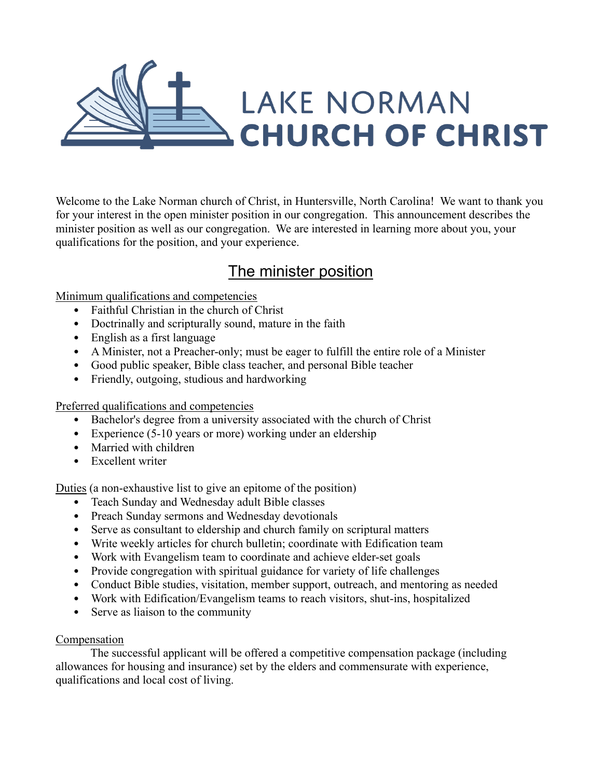

Welcome to the [Lake Norman church of Christ,](http://lakenormancoc.org/) in Huntersville, North Carolina! We want to thank you for your interest in the open minister position in our congregation. This announcement describes the minister position as well as our congregation. We are interested in learning more about you, your qualifications for the position, and your experience.

## The minister position

Minimum qualifications and competencies

- Faithful Christian in the church of Christ
- Doctrinally and scripturally sound, mature in the faith
- English as a first language
- A Minister, not a Preacher-only; must be eager to fulfill the entire role of a Minister
- Good public speaker, Bible class teacher, and personal Bible teacher
- Friendly, outgoing, studious and hardworking

Preferred qualifications and competencies

- Bachelor's degree from a university associated with the church of Christ
- Experience (5-10 years or more) working under an eldership
- Married with children
- Excellent writer

Duties (a non-exhaustive list to give an epitome of the position)

- Teach Sunday and Wednesday adult Bible classes
- Preach Sunday sermons and Wednesday devotionals
- Serve as consultant to eldership and church family on scriptural matters
- Write weekly articles for church bulletin; coordinate with Edification team
- Work with Evangelism team to coordinate and achieve elder-set goals
- Provide congregation with spiritual guidance for variety of life challenges
- Conduct Bible studies, visitation, member support, outreach, and mentoring as needed
- Work with Edification/Evangelism teams to reach visitors, shut-ins, hospitalized
- Serve as liaison to the community

## Compensation

The successful applicant will be offered a competitive compensation package (including allowances for housing and insurance) set by the elders and commensurate with experience, qualifications and local cost of living.